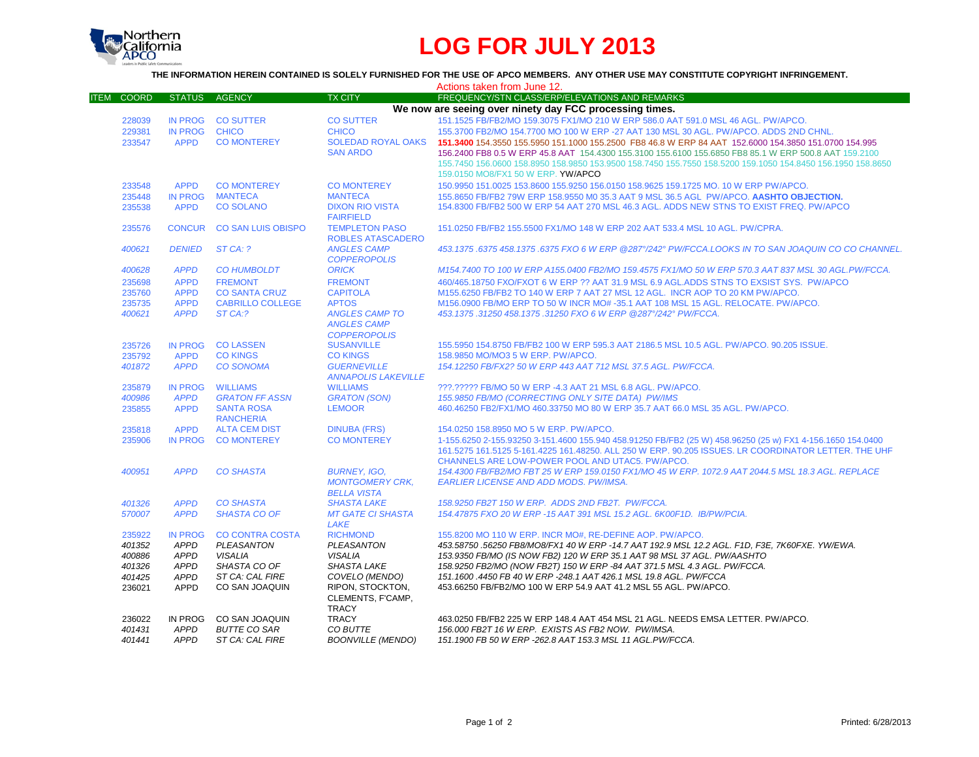

## **LOG FOR JULY 2013**

**THE INFORMATION HEREIN CONTAINED IS SOLELY FURNISHED FOR THE USE OF APCO MEMBERS. ANY OTHER USE MAY CONSTITUTE COPYRIGHT INFRINGEMENT.**

|                             |                |                                       |                                                       | Actions taken from June 12.                                                                                                                                                                                        |
|-----------------------------|----------------|---------------------------------------|-------------------------------------------------------|--------------------------------------------------------------------------------------------------------------------------------------------------------------------------------------------------------------------|
| <b>COORD</b><br><b>ITEM</b> | <b>STATUS</b>  | <b>AGENCY</b>                         | <b>TX CITY</b>                                        | FREQUENCY/STN CLASS/ERP/ELEVATIONS AND REMARKS                                                                                                                                                                     |
|                             |                |                                       |                                                       | We now are seeing over ninety day FCC processing times.                                                                                                                                                            |
| 228039                      | IN PROG        | <b>CO SUTTER</b>                      | <b>CO SUTTER</b>                                      | 151.1525 FB/FB2/MO 159.3075 FX1/MO 210 W ERP 586.0 AAT 591.0 MSL 46 AGL, PW/APCO,                                                                                                                                  |
| 229381                      | IN PROG        | <b>CHICO</b>                          | <b>CHICO</b>                                          | 155,3700 FB2/MO 154,7700 MO 100 W ERP -27 AAT 130 MSL 30 AGL, PW/APCO, ADDS 2ND CHNL.                                                                                                                              |
| 233547                      | <b>APPD</b>    | <b>CO MONTEREY</b>                    | <b>SOLEDAD ROYAL OAKS</b>                             | 151,3400 154,3550 155,5950 151,1000 155,2500 FB8 46.8 W ERP 84 AAT 152,6000 154,3850 151,0700 154,995                                                                                                              |
|                             |                |                                       | <b>SAN ARDO</b>                                       | 156.2400 FB8 0.5 W ERP 45.8 AAT 154.4300 155.3100 155.6100 155.6850 FB8 85.1 W ERP 500.8 AAT 159.2100                                                                                                              |
|                             |                |                                       |                                                       | 155.7450 156.0600 158.8950 158.9850 153.9500 158.7450 155.7550 158.5200 159.1050 154.8450 156.1950 158.8650                                                                                                        |
|                             |                |                                       |                                                       | 159.0150 MO8/FX1 50 W ERP. YW/APCO                                                                                                                                                                                 |
| 233548                      | <b>APPD</b>    | <b>CO MONTEREY</b>                    | <b>CO MONTEREY</b>                                    | 150.9950 151.0025 153.8600 155.9250 156.0150 158.9625 159.1725 MO. 10 W ERP PW/APCO.                                                                                                                               |
| 235448                      | <b>IN PROG</b> | <b>MANTECA</b>                        | <b>MANTECA</b>                                        | 155.8650 FB/FB2 79W ERP 158.9550 M0 35.3 AAT 9 MSL 36.5 AGL PW/APCO. AASHTO OBJECTION.                                                                                                                             |
| 235538                      | <b>APPD</b>    | <b>CO SOLANO</b>                      | <b>DIXON RIO VISTA</b>                                | 154,8300 FB/FB2 500 W ERP 54 AAT 270 MSL 46.3 AGL, ADDS NEW STNS TO EXIST FREQ. PW/APCO                                                                                                                            |
|                             |                |                                       | <b>FAIRFIELD</b>                                      |                                                                                                                                                                                                                    |
| 235576                      |                | CONCUR CO SAN LUIS OBISPO             | <b>TEMPLETON PASO</b><br><b>ROBLES ATASCADERO</b>     | 151.0250 FB/FB2 155.5500 FX1/MO 148 W ERP 202 AAT 533.4 MSL 10 AGL, PW/CPRA.                                                                                                                                       |
| 400621                      | <b>DENIED</b>  | ST CA: ?                              | <b>ANGLES CAMP</b><br><b>COPPEROPOLIS</b>             | 453.1375 .6375 458.1375 .6375 FXO 6 W ERP @287°/242° PW/FCCA.LOOKS IN TO SAN JOAQUIN CO CO CHANNEL.                                                                                                                |
| 400628                      | <b>APPD</b>    | <b>CO HUMBOLDT</b>                    | <b>ORICK</b>                                          | M154.7400 TO 100 W ERP A155.0400 FB2/MO 159.4575 FX1/MO 50 W ERP 570.3 AAT 837 MSL 30 AGL.PW/FCCA.                                                                                                                 |
| 235698                      | <b>APPD</b>    | <b>FREMONT</b>                        | <b>FREMONT</b>                                        | 460/465.18750 FXO/FXOT 6 W ERP ?? AAT 31.9 MSL 6.9 AGL.ADDS STNS TO EXSIST SYS. PW/APCO                                                                                                                            |
| 235760                      | <b>APPD</b>    | <b>CO SANTA CRUZ</b>                  | <b>CAPITOLA</b>                                       | M155.6250 FB/FB2 TO 140 W ERP 7 AAT 27 MSL 12 AGL. INCR AOP TO 20 KM PW/APCO.                                                                                                                                      |
| 235735                      | <b>APPD</b>    | <b>CABRILLO COLLEGE</b>               | <b>APTOS</b>                                          | M156.0900 FB/MO ERP TO 50 W INCR MO# -35.1 AAT 108 MSL 15 AGL, RELOCATE, PW/APCO,                                                                                                                                  |
| 400621                      | <b>APPD</b>    | ST CA:?                               | <b>ANGLES CAMP TO</b>                                 | 453.1375.31250 458.1375.31250 FXO 6 W ERP @287°/242° PW/FCCA.                                                                                                                                                      |
|                             |                |                                       | <b>ANGLES CAMP</b>                                    |                                                                                                                                                                                                                    |
|                             |                |                                       | <b>COPPEROPOLIS</b>                                   |                                                                                                                                                                                                                    |
| 235726                      | <b>IN PROG</b> | <b>CO LASSEN</b>                      | <b>SUSANVILLE</b>                                     | 155.5950 154.8750 FB/FB2 100 W ERP 595.3 AAT 2186.5 MSL 10.5 AGL. PW/APCO. 90.205 ISSUE.                                                                                                                           |
| 235792                      | <b>APPD</b>    | <b>CO KINGS</b>                       | <b>CO KINGS</b>                                       | 158.9850 MO/MO3 5 W ERP. PW/APCO.                                                                                                                                                                                  |
| 401872                      | <b>APPD</b>    | <b>CO SONOMA</b>                      | <b>GUERNEVILLE</b><br><b>ANNAPOLIS LAKEVILLE</b>      | 154.12250 FB/FX2? 50 W ERP 443 AAT 712 MSL 37.5 AGL. PW/FCCA.                                                                                                                                                      |
| 235879                      | <b>IN PROG</b> | <b>WILLIAMS</b>                       | <b>WILLIAMS</b>                                       | ???.????? FB/MO 50 W ERP -4.3 AAT 21 MSL 6.8 AGL. PW/APCO.                                                                                                                                                         |
| 400986                      | <b>APPD</b>    | <b>GRATON FF ASSN</b>                 | <b>GRATON (SON)</b>                                   | 155.9850 FB/MO (CORRECTING ONLY SITE DATA) PW/IMS                                                                                                                                                                  |
| 235855                      | <b>APPD</b>    | <b>SANTA ROSA</b><br><b>RANCHERIA</b> | <b>LEMOOR</b>                                         | 460.46250 FB2/FX1/MO 460.33750 MO 80 W ERP 35.7 AAT 66.0 MSL 35 AGL. PW/APCO.                                                                                                                                      |
| 235818                      | <b>APPD</b>    | <b>ALTA CEM DIST</b>                  | <b>DINUBA (FRS)</b>                                   | 154.0250 158.8950 MO 5 W ERP. PW/APCO.                                                                                                                                                                             |
| 235906                      | IN PROG        | <b>CO MONTEREY</b>                    | <b>CO MONTEREY</b>                                    | 1-155.6250 2-155.93250 3-151.4600 155.940 458.91250 FB/FB2 (25 W) 458.96250 (25 w) FX1 4-156.1650 154.0400<br>161.5275 161.5125 5-161.4225 161.48250. ALL 250 W ERP. 90.205 ISSUES. LR COORDINATOR LETTER. THE UHF |
|                             |                |                                       |                                                       | CHANNELS ARE LOW-POWER POOL AND UTAC5, PW/APCO.                                                                                                                                                                    |
| 400951                      | <b>APPD</b>    | <b>CO SHASTA</b>                      | <b>BURNEY, IGO.</b>                                   | 154.4300 FB/FB2/MO FBT 25 W ERP 159.0150 FX1/MO 45 W ERP. 1072.9 AAT 2044.5 MSL 18.3 AGL. REPLACE                                                                                                                  |
|                             |                |                                       | <b>MONTGOMERY CRK.</b><br><b>BELLA VISTA</b>          | EARLIER LICENSE AND ADD MODS. PW/IMSA.                                                                                                                                                                             |
| 401326                      | <b>APPD</b>    | <b>CO SHASTA</b>                      | <b>SHASTA LAKE</b>                                    | 158.9250 FB2T 150 W ERP. ADDS 2ND FB2T. PW/FCCA.                                                                                                                                                                   |
| 570007                      | <b>APPD</b>    | <b>SHASTA CO OF</b>                   | <b>MT GATE CI SHASTA</b><br>LAKE                      | 154.47875 FXO 20 W ERP -15 AAT 391 MSL 15.2 AGL. 6K00F1D. IB/PW/PCIA.                                                                                                                                              |
| 235922                      | <b>IN PROG</b> | <b>CO CONTRA COSTA</b>                | <b>RICHMOND</b>                                       | 155,8200 MO 110 W ERP. INCR MO#, RE-DEFINE AOP. PW/APCO.                                                                                                                                                           |
| 401352                      | <b>APPD</b>    | PLEASANTON                            | PLEASANTON                                            | 453.58750 .56250 FB8/MO8/FX1 40 W ERP -14.7 AAT 192.9 MSL 12.2 AGL. F1D, F3E, 7K60FXE. YW/EWA.                                                                                                                     |
| 400886                      | <b>APPD</b>    | <b>VISALIA</b>                        | VISALIA                                               | 153.9350 FB/MO (IS NOW FB2) 120 W ERP 35.1 AAT 98 MSL 37 AGL. PW/AASHTO                                                                                                                                            |
| 401326                      | <b>APPD</b>    | SHASTA CO OF                          | <b>SHASTA LAKE</b>                                    | 158.9250 FB2/MO (NOW FB2T) 150 W ERP -84 AAT 371.5 MSL 4.3 AGL. PW/FCCA.                                                                                                                                           |
| 401425                      | <b>APPD</b>    | ST CA: CAL FIRE                       | COVELO (MENDO)                                        | 151.1600 .4450 FB 40 W ERP -248.1 AAT 426.1 MSL 19.8 AGL. PW/FCCA                                                                                                                                                  |
| 236021                      | <b>APPD</b>    | CO SAN JOAQUIN                        | RIPON, STOCKTON,<br>CLEMENTS, F'CAMP,<br><b>TRACY</b> | 453.66250 FB/FB2/MO 100 W ERP 54.9 AAT 41.2 MSL 55 AGL. PW/APCO.                                                                                                                                                   |
| 236022                      | IN PROG        | CO SAN JOAQUIN                        | <b>TRACY</b>                                          | 463.0250 FB/FB2 225 W ERP 148.4 AAT 454 MSL 21 AGL. NEEDS EMSA LETTER. PW/APCO.                                                                                                                                    |
| 401431                      | <b>APPD</b>    | <b>BUTTE CO SAR</b>                   | CO BUTTE                                              | 156,000 FB2T 16 W ERP. EXISTS AS FB2 NOW. PW/IMSA.                                                                                                                                                                 |
| 401441                      | <b>APPD</b>    | ST CA: CAL FIRE                       | <b>BOONVILLE (MENDO)</b>                              | 151.1900 FB 50 W ERP -262.8 AAT 153.3 MSL 11 AGL.PW/FCCA.                                                                                                                                                          |